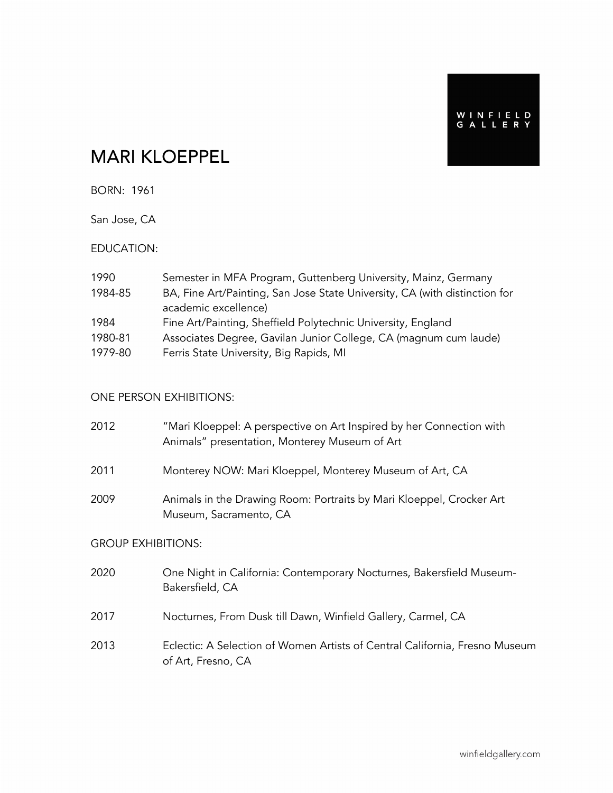WINFIELD<br>GALLERY

# MARI KLOEPPEL

BORN: 1961

San Jose, CA

#### EDUCATION:

| 1990    | Semester in MFA Program, Guttenberg University, Mainz, Germany             |
|---------|----------------------------------------------------------------------------|
| 1984-85 | BA, Fine Art/Painting, San Jose State University, CA (with distinction for |
|         | academic excellence)                                                       |
| 1984    | Fine Art/Painting, Sheffield Polytechnic University, England               |
| 1980-81 | Associates Degree, Gavilan Junior College, CA (magnum cum laude)           |
| 1979-80 | Ferris State University, Big Rapids, MI                                    |

#### ONE PERSON EXHIBITIONS:

| 2012                      | "Mari Kloeppel: A perspective on Art Inspired by her Connection with<br>Animals" presentation, Monterey Museum of Art |  |
|---------------------------|-----------------------------------------------------------------------------------------------------------------------|--|
| 2011                      | Monterey NOW: Mari Kloeppel, Monterey Museum of Art, CA                                                               |  |
| 2009                      | Animals in the Drawing Room: Portraits by Mari Kloeppel, Crocker Art<br>Museum, Sacramento, CA                        |  |
| <b>GROUP EXHIBITIONS:</b> |                                                                                                                       |  |
| 2020                      | One Night in California: Contemporary Nocturnes, Bakersfield Museum-<br>Bakersfield, CA                               |  |
| 2017                      | Nocturnes, From Dusk till Dawn, Winfield Gallery, Carmel, CA                                                          |  |

2013 Eclectic: A Selection of Women Artists of Central California, Fresno Museum of Art, Fresno, CA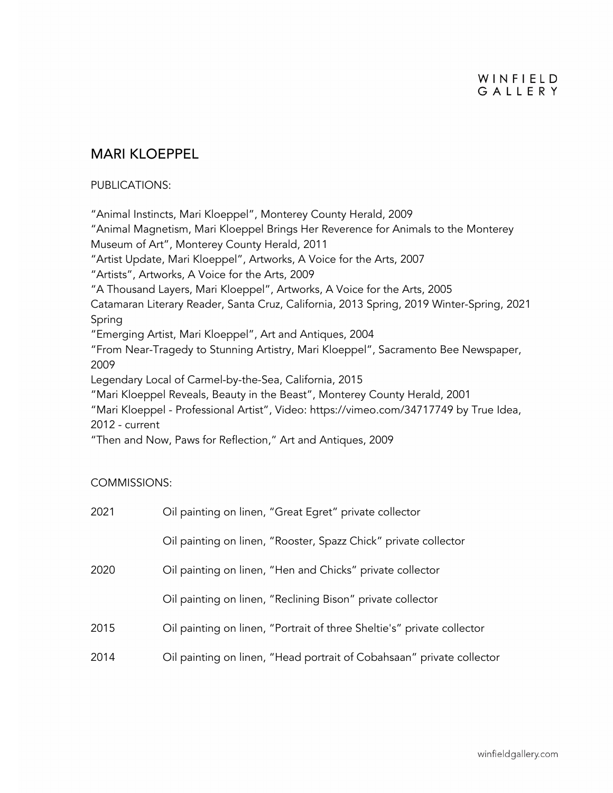#### WINFIELD GALLERY

### MARI KLOEPPEL

#### PUBLICATIONS:

"Animal Instincts, Mari Kloeppel", Monterey County Herald, 2009 "Animal Magnetism, Mari Kloeppel Brings Her Reverence for Animals to the Monterey Museum of Art", Monterey County Herald, 2011 "Artist Update, Mari Kloeppel", Artworks, A Voice for the Arts, 2007 "Artists", Artworks, A Voice for the Arts, 2009 "A Thousand Layers, Mari Kloeppel", Artworks, A Voice for the Arts, 2005 Catamaran Literary Reader, Santa Cruz, California, 2013 Spring, 2019 Winter-Spring, 2021 Spring "Emerging Artist, Mari Kloeppel", Art and Antiques, 2004 "From Near-Tragedy to Stunning Artistry, Mari Kloeppel", Sacramento Bee Newspaper, 2009 Legendary Local of Carmel-by-the-Sea, California, 2015 "Mari Kloeppel Reveals, Beauty in the Beast", Monterey County Herald, 2001 "Mari Kloeppel - Professional Artist", Video: https://vimeo.com/34717749 by True Idea, 2012 - current "Then and Now, Paws for Reflection," Art and Antiques, 2009

#### COMMISSIONS:

| 2021 | Oil painting on linen, "Great Egret" private collector                 |
|------|------------------------------------------------------------------------|
|      | Oil painting on linen, "Rooster, Spazz Chick" private collector        |
| 2020 | Oil painting on linen, "Hen and Chicks" private collector              |
|      | Oil painting on linen, "Reclining Bison" private collector             |
| 2015 | Oil painting on linen, "Portrait of three Sheltie's" private collector |
| 2014 | Oil painting on linen, "Head portrait of Cobahsaan" private collector  |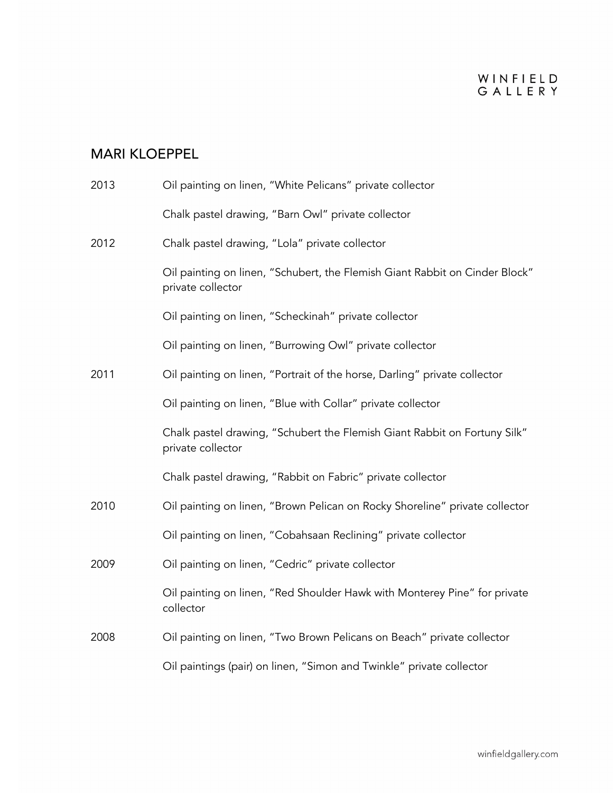# WINFIELD<br>GALLERY

## MARI KLOEPPEL

| 2013 | Oil painting on linen, "White Pelicans" private collector                                        |
|------|--------------------------------------------------------------------------------------------------|
|      | Chalk pastel drawing, "Barn Owl" private collector                                               |
| 2012 | Chalk pastel drawing, "Lola" private collector                                                   |
|      | Oil painting on linen, "Schubert, the Flemish Giant Rabbit on Cinder Block"<br>private collector |
|      | Oil painting on linen, "Scheckinah" private collector                                            |
|      | Oil painting on linen, "Burrowing Owl" private collector                                         |
| 2011 | Oil painting on linen, "Portrait of the horse, Darling" private collector                        |
|      | Oil painting on linen, "Blue with Collar" private collector                                      |
|      | Chalk pastel drawing, "Schubert the Flemish Giant Rabbit on Fortuny Silk"<br>private collector   |
|      | Chalk pastel drawing, "Rabbit on Fabric" private collector                                       |
| 2010 | Oil painting on linen, "Brown Pelican on Rocky Shoreline" private collector                      |
|      | Oil painting on linen, "Cobahsaan Reclining" private collector                                   |
| 2009 | Oil painting on linen, "Cedric" private collector                                                |
|      | Oil painting on linen, "Red Shoulder Hawk with Monterey Pine" for private<br>collector           |
| 2008 | Oil painting on linen, "Two Brown Pelicans on Beach" private collector                           |
|      | Oil paintings (pair) on linen, "Simon and Twinkle" private collector                             |